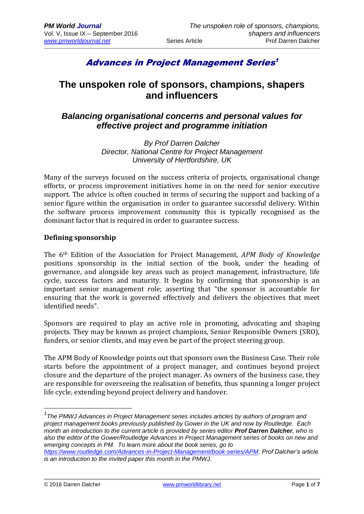# Advances in Project Management Series 1

## **The unspoken role of sponsors, champions, shapers and influencers**

## *Balancing organisational concerns and personal values for effective project and programme initiation*

*By Prof Darren Dalcher Director, National Centre for Project Management University of Hertfordshire, UK*

Many of the surveys focused on the success criteria of projects, organisational change efforts, or process improvement initiatives home in on the need for senior executive support. The advice is often couched in terms of securing the support and backing of a senior figure within the organisation in order to guarantee successful delivery. Within the software process improvement community this is typically recognised as the dominant factor that is required in order to guarantee success.

#### **Defining sponsorship**

The 6th Edition of the Association for Project Management, *APM Body of Knowledge* positions sponsorship in the initial section of the book, under the heading of governance, and alongside key areas such as project management, infrastructure, life cycle, success factors and maturity. It begins by confirming that sponsorship is an important senior management role; asserting that "the sponsor is accountable for ensuring that the work is governed effectively and delivers the objectives that meet identified needs".

Sponsors are required to play an active role in promoting, advocating and shaping projects. They may be known as project champions, Senior Responsible Owners (SRO), funders, or senior clients, and may even be part of the project steering group.

The APM Body of Knowledge points out that sponsors own the Business Case. Their role starts before the appointment of a project manager, and continues beyond project closure and the departure of the project manager. As owners of the business case, they are responsible for overseeing the realisation of benefits, thus spanning a longer project life cycle, extending beyond project delivery and handover.

1

*<sup>1</sup> The PMWJ Advances in Project Management series includes articles by authors of program and project management books previously published by Gower in the UK and now by Routledge. Each month an introduction to the current article is provided by series editor Prof Darren Dalcher, who is also the editor of the Gower/Routledge Advances in Project Management series of books on new and emerging concepts in PM. To learn more about the book series, go to* 

*[https://www.routledge.com/Advances-in-Project-Management/book-series/APM.](https://www.routledge.com/Advances-in-Project-Management/book-series/APM) Prof Dalcher's article is an introduction to the invited paper this month in the PMWJ.*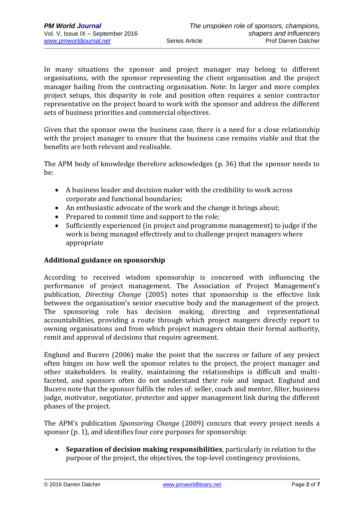In many situations the sponsor and project manager may belong to different organisations, with the sponsor representing the client organisation and the project manager hailing from the contracting organisation. Note: In larger and more complex project setups, this disparity in role and position often requires a senior contractor representative on the project board to work with the sponsor and address the different sets of business priorities and commercial objectives.

Given that the sponsor owns the business case, there is a need for a close relationship with the project manager to ensure that the business case remains viable and that the benefits are both relevant and realisable.

The APM body of knowledge therefore acknowledges (p. 36) that the sponsor needs to be:

- A business leader and decision maker with the credibility to work across corporate and functional boundaries;
- An enthusiastic advocate of the work and the change it brings about;
- Prepared to commit time and support to the role;
- Sufficiently experienced (in project and programme management) to judge if the work is being managed effectively and to challenge project managers where appropriate

#### **Additional guidance on sponsorship**

According to received wisdom sponsorship is concerned with influencing the performance of project management. The Association of Project Management's publication, *Directing Change* (2005) notes that sponsorship is the effective link between the organisation's senior executive body and the management of the project. The sponsoring role has decision making, directing and representational accountabilities, providing a route through which project mangers directly report to owning organisations and from which project managers obtain their formal authority, remit and approval of decisions that require agreement.

Englund and Bucero (2006) make the point that the success or failure of any project often hinges on how well the sponsor relates to the project, the project manager and other stakeholders. In reality, maintaining the relationships is difficult and multifaceted, and sponsors often do not understand their role and impact. Englund and Bucero note that the sponsor fulfils the roles of: seller, coach and mentor, filter, business judge, motivator, negotiator, protector and upper management link during the different phases of the project.

The APM's publication *Sponsoring Change* (2009) concurs that every project needs a sponsor (p. 1), and identifies four core purposes for sponsorship:

 **Separation of decision making responsibilities**, particularly in relation to the purpose of the project, the objectives, the top-level contingency provisions,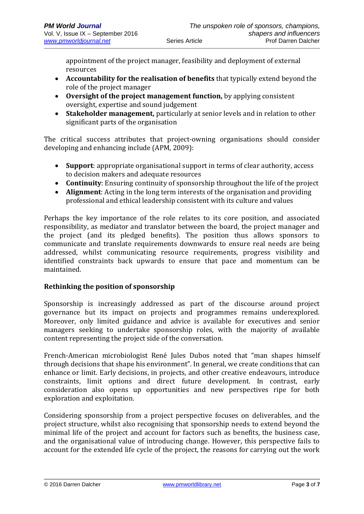appointment of the project manager, feasibility and deployment of external resources

- **Accountability for the realisation of benefits** that typically extend beyond the role of the project manager
- **Oversight of the project management function,** by applying consistent oversight, expertise and sound judgement
- **Stakeholder management,** particularly at senior levels and in relation to other significant parts of the organisation

The critical success attributes that project-owning organisations should consider developing and enhancing include (APM, 2009):

- **Support**: appropriate organisational support in terms of clear authority, access to decision makers and adequate resources
- **Continuity**: Ensuring continuity of sponsorship throughout the life of the project
- **Alignment**: Acting in the long term interests of the organisation and providing professional and ethical leadership consistent with its culture and values

Perhaps the key importance of the role relates to its core position, and associated responsibility, as mediator and translator between the board, the project manager and the project (and its pledged benefits). The position thus allows sponsors to communicate and translate requirements downwards to ensure real needs are being addressed, whilst communicating resource requirements, progress visibility and identified constraints back upwards to ensure that pace and momentum can be maintained.

### **Rethinking the position of sponsorship**

Sponsorship is increasingly addressed as part of the discourse around project governance but its impact on projects and programmes remains underexplored. Moreover, only limited guidance and advice is available for executives and senior managers seeking to undertake sponsorship roles, with the majority of available content representing the project side of the conversation.

French-American microbiologist René Jules Dubos noted that "man shapes himself through decisions that shape his environment". In general, we create conditions that can enhance or limit. Early decisions, in projects, and other creative endeavours, introduce constraints, limit options and direct future development. In contrast, early consideration also opens up opportunities and new perspectives ripe for both exploration and exploitation.

Considering sponsorship from a project perspective focuses on deliverables, and the project structure, whilst also recognising that sponsorship needs to extend beyond the minimal life of the project and account for factors such as benefits, the business case, and the organisational value of introducing change. However, this perspective fails to account for the extended life cycle of the project, the reasons for carrying out the work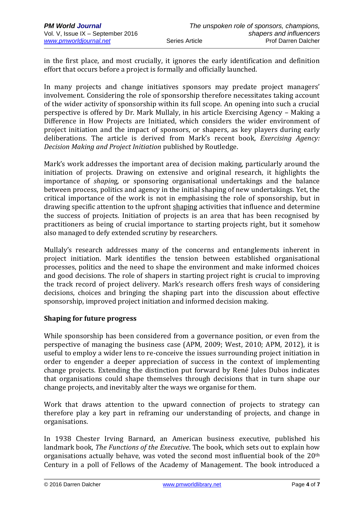in the first place, and most crucially, it ignores the early identification and definition effort that occurs before a project is formally and officially launched.

In many projects and change initiatives sponsors may predate project managers' involvement. Considering the role of sponsorship therefore necessitates taking account of the wider activity of sponsorship within its full scope. An opening into such a crucial perspective is offered by Dr. Mark Mullaly, in his article Exercising Agency – Making a Difference in How Projects are Initiated, which considers the wider environment of project initiation and the impact of sponsors, or shapers, as key players during early deliberations. The article is derived from Mark's recent book, *Exercising Agency: Decision Making and Project Initiation* published by Routledge.

Mark's work addresses the important area of decision making, particularly around the initiation of projects. Drawing on extensive and original research, it highlights the importance of *shapin*g, or sponsoring organisational undertakings and the balance between process, politics and agency in the initial shaping of new undertakings. Yet, the critical importance of the work is not in emphasising the role of sponsorship, but in drawing specific attention to the upfront shaping activities that influence and determine the success of projects. Initiation of projects is an area that has been recognised by practitioners as being of crucial importance to starting projects right, but it somehow also managed to defy extended scrutiny by researchers.

Mullaly's research addresses many of the concerns and entanglements inherent in project initiation. Mark identifies the tension between established organisational processes, politics and the need to shape the environment and make informed choices and good decisions. The role of shapers in starting project right is crucial to improving the track record of project delivery. Mark's research offers fresh ways of considering decisions, choices and bringing the shaping part into the discussion about effective sponsorship, improved project initiation and informed decision making.

### **Shaping for future progress**

While sponsorship has been considered from a governance position, or even from the perspective of managing the business case (APM, 2009; West, 2010; APM, 2012), it is useful to employ a wider lens to re-conceive the issues surrounding project initiation in order to engender a deeper appreciation of success in the context of implementing change projects. Extending the distinction put forward by René Jules Dubos indicates that organisations could shape themselves through decisions that in turn shape our change projects, and inevitably alter the ways we organise for them.

Work that draws attention to the upward connection of projects to strategy can therefore play a key part in reframing our understanding of projects, and change in organisations.

In 1938 Chester Irving Barnard, an American business executive, published his landmark book, *The Functions of the Executive*. The book, which sets out to explain how organisations actually behave, was voted the second most influential book of the 20th Century in a poll of Fellows of the Academy of Management. The book introduced a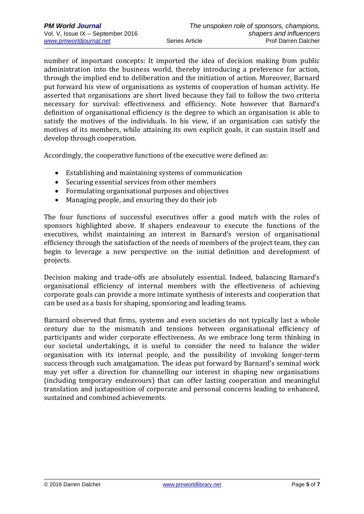number of important concepts: It imported the idea of decision making from public administration into the business world, thereby introducing a preference for action, through the implied end to deliberation and the initiation of action. Moreover, Barnard put forward his view of organisations as systems of cooperation of human activity. He asserted that organisations are short lived because they fail to follow the two criteria necessary for survival: effectiveness and efficiency. Note however that Barnard's definition of organisational efficiency is the degree to which an organisation is able to satisfy the motives of the individuals. In his view, if an organisation can satisfy the motives of its members, while attaining its own explicit goals, it can sustain itself and develop through cooperation.

Accordingly, the cooperative functions of the executive were defined as:

- Establishing and maintaining systems of communication
- Securing essential services from other members
- Formulating organisational purposes and objectives
- Managing people, and ensuring they do their job

The four functions of successful executives offer a good match with the roles of sponsors highlighted above. If shapers endeavour to execute the functions of the executives, whilst maintaining an interest in Barnard's version of organisational efficiency through the satisfaction of the needs of members of the project team, they can begin to leverage a new perspective on the initial definition and development of projects.

Decision making and trade-offs are absolutely essential. Indeed, balancing Barnard's organisational efficiency of internal members with the effectiveness of achieving corporate goals can provide a more intimate synthesis of interests and cooperation that can be used as a basis for shaping, sponsoring and leading teams.

Barnard observed that firms, systems and even societies do not typically last a whole century due to the mismatch and tensions between organisational efficiency of participants and wider corporate effectiveness. As we embrace long term thinking in our societal undertakings, it is useful to consider the need to balance the wider organisation with its internal people, and the possibility of invoking longer-term success through such amalgamation. The ideas put forward by Barnard's seminal work may yet offer a direction for channelling our interest in shaping new organisations (including temporary endeavours) that can offer lasting cooperation and meaningful translation and juxtaposition of corporate and personal concerns leading to enhanced, sustained and combined achievements.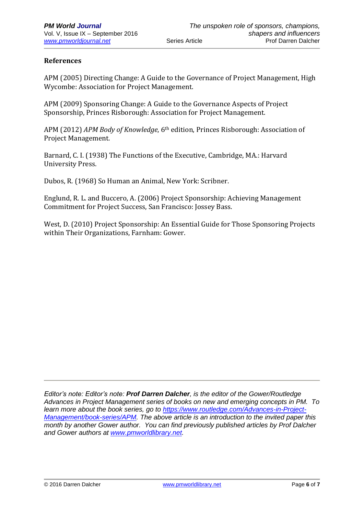#### **References**

APM (2005) Directing Change: A Guide to the Governance of Project Management, High Wycombe: Association for Project Management.

APM (2009) Sponsoring Change: A Guide to the Governance Aspects of Project Sponsorship, Princes Risborough: Association for Project Management.

APM (2012) *APM Body of Knowledge*, 6th edition, Princes Risborough: Association of Project Management.

Barnard, C. I. (1938) The Functions of the Executive, Cambridge, MA.: Harvard University Press.

Dubos, R. (1968) So Human an Animal, New York: Scribner.

Englund, R. L. and Buccero, A. (2006) Project Sponsorship: Achieving Management Commitment for Project Success, San Francisco: Jossey Bass.

West, D. (2010) Project Sponsorship: An Essential Guide for Those Sponsoring Projects within Their Organizations, Farnham: Gower.

*Editor's note: Editor's note: Prof Darren Dalcher, is the editor of the Gower/Routledge Advances in Project Management series of books on new and emerging concepts in PM. To learn more about the book series, go to [https://www.routledge.com/Advances-in-Project-](https://www.routledge.com/Advances-in-Project-Management/book-series/APM)[Management/book-series/APM.](https://www.routledge.com/Advances-in-Project-Management/book-series/APM) The above article is an introduction to the invited paper this month by another Gower author. You can find previously published articles by Prof Dalcher and Gower authors at [www.pmworldlibrary.net.](http://www.pmworldlibrary.net/)*